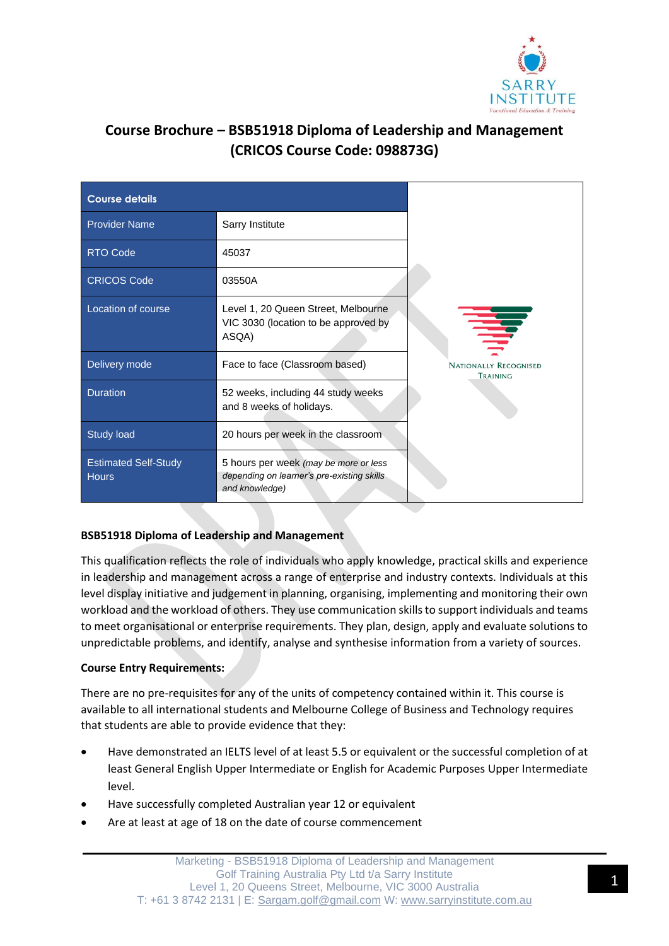

# **Course Brochure – BSB51918 Diploma of Leadership and Management (CRICOS Course Code: 098873G)**

| <b>Course details</b>                       |                                                                                                       |                                          |
|---------------------------------------------|-------------------------------------------------------------------------------------------------------|------------------------------------------|
| <b>Provider Name</b>                        | Sarry Institute                                                                                       |                                          |
| <b>RTO Code</b>                             | 45037                                                                                                 |                                          |
| <b>CRICOS Code</b>                          | 03550A                                                                                                |                                          |
| Location of course                          | Level 1, 20 Queen Street, Melbourne<br>VIC 3030 (location to be approved by<br>ASQA)                  | 章                                        |
| Delivery mode                               | Face to face (Classroom based)                                                                        | <b>NATIONALLY RECOGNISED</b><br>TRAINING |
| <b>Duration</b>                             | 52 weeks, including 44 study weeks<br>and 8 weeks of holidays.                                        |                                          |
| <b>Study load</b>                           | 20 hours per week in the classroom                                                                    |                                          |
| <b>Estimated Self-Study</b><br><b>Hours</b> | 5 hours per week (may be more or less<br>depending on learner's pre-existing skills<br>and knowledge) |                                          |

## **BSB51918 Diploma of Leadership and Management**

This qualification reflects the role of individuals who apply knowledge, practical skills and experience in leadership and management across a range of enterprise and industry contexts. Individuals at this level display initiative and judgement in planning, organising, implementing and monitoring their own workload and the workload of others. They use communication skills to support individuals and teams to meet organisational or enterprise requirements. They plan, design, apply and evaluate solutions to unpredictable problems, and identify, analyse and synthesise information from a variety of sources.

## **Course Entry Requirements:**

There are no pre-requisites for any of the units of competency contained within it. This course is available to all international students and Melbourne College of Business and Technology requires that students are able to provide evidence that they:

- Have demonstrated an IELTS level of at least 5.5 or equivalent or the successful completion of at least General English Upper Intermediate or English for Academic Purposes Upper Intermediate level.
- Have successfully completed Australian year 12 or equivalent
- Are at least at age of 18 on the date of course commencement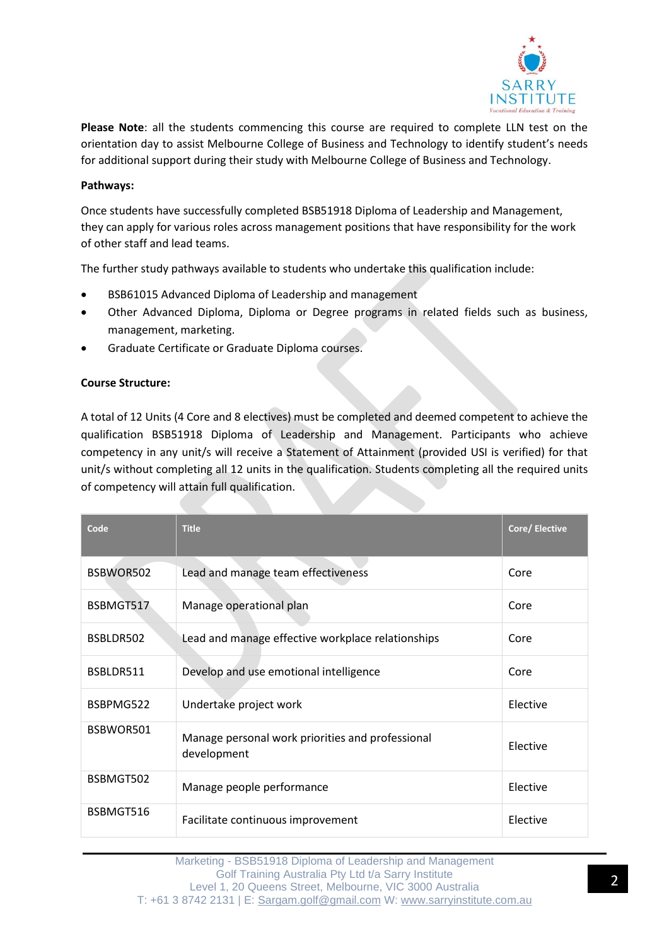

**Please Note**: all the students commencing this course are required to complete LLN test on the orientation day to assist Melbourne College of Business and Technology to identify student's needs for additional support during their study with Melbourne College of Business and Technology.

### **Pathways:**

Once students have successfully completed BSB51918 Diploma of Leadership and Management, they can apply for various roles across management positions that have responsibility for the work of other staff and lead teams.

The further study pathways available to students who undertake this qualification include:

- BSB61015 Advanced Diploma of Leadership and management
- Other Advanced Diploma, Diploma or Degree programs in related fields such as business, management, marketing.
- Graduate Certificate or Graduate Diploma courses.

#### **Course Structure:**

A total of 12 Units (4 Core and 8 electives) must be completed and deemed competent to achieve the qualification BSB51918 Diploma of Leadership and Management. Participants who achieve competency in any unit/s will receive a Statement of Attainment (provided USI is verified) for that unit/s without completing all 12 units in the qualification. Students completing all the required units of competency will attain full qualification.

| Code      | <b>Title</b>                                                    | Core/ Elective |
|-----------|-----------------------------------------------------------------|----------------|
| BSBWOR502 | Lead and manage team effectiveness                              | Core           |
| BSBMGT517 | Manage operational plan                                         | Core           |
| BSBLDR502 | Lead and manage effective workplace relationships               | Core           |
| BSBLDR511 | Develop and use emotional intelligence                          | Core           |
| BSBPMG522 | Undertake project work                                          | Elective       |
| BSBWOR501 | Manage personal work priorities and professional<br>development | Elective       |
| BSBMGT502 | Manage people performance                                       | Elective       |
| BSBMGT516 | Facilitate continuous improvement                               | Elective       |